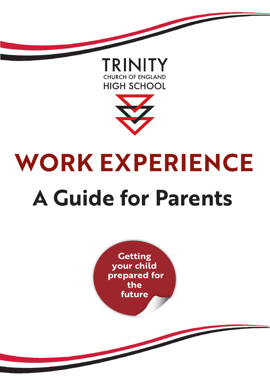



# **WORK EXPERIENCE A Guide for Parents**

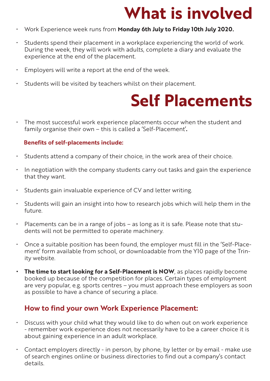### **What is involved**

- • Work Experience week runs from **Monday 6th July to Friday 10th July 2020.**
- • Students spend their placement in a workplace experiencing the world of work. During the week, they will work with adults, complete a diary and evaluate the experience at the end of the placement.
- • Employers will write a report at the end of the week.
- • Students will be visited by teachers whilst on their placement.

### **Self Placements**

• The most successful work experience placements occur when the student and family organise their own – this is called a 'Self-Placement'**.**

#### **Benefits of self-placements include:**

- $\cdot$  Students attend a company of their choice, in the work area of their choice.
- $\cdot$  In negotiation with the company students carry out tasks and gain the experience that they want.
- • Students gain invaluable experience of CV and letter writing.
- Students will gain an insight into how to research jobs which will help them in the future.
- $\cdot$  Placements can be in a range of jobs as long as it is safe. Please note that students will not be permitted to operate machinery.
- $\cdot$  Once a suitable position has been found, the employer must fill in the 'Self-Placement' form available from school, or downloadable from the Y10 page of the Trinity website.
- **The time to start looking for a Self-Placement is NOW**, as places rapidly become booked up because of the competition for places. Certain types of employment are very popular, e.g. sports centres – you must approach these employers as soon as possible to have a chance of securing a place.

#### **How to find your own Work Experience Placement:**

- Discuss with your child what they would like to do when out on work experience - remember work experience does not necessarily have to be a career choice it is about gaining experience in an adult workplace.
- $\cdot$  Contact employers directly in person, by phone, by letter or by email make use of search engines online or business directories to find out a company's contact details.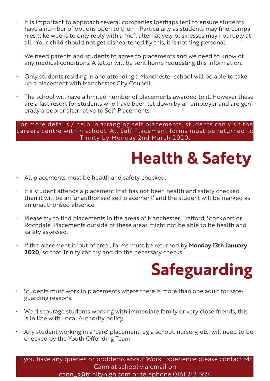- • It is important to approach several companies (perhaps ten) to ensure students have a number of options open to them. Particularly as students may find companies take weeks to only reply with a "no", alternatively businesses may not reply at all. Your child should not get disheartened by this, it is nothing personal.
- We need parents and students to agree to placements and we need to know of any medical conditions. A letter will be sent home requesting this information.
- $\cdot$  Only students residing in and attending a Manchester school will be able to take up a placement with Manchester City Council.
- The school will have a limited number of placements awarded to it. However these are a last resort for students who have been let down by an employer and are generally a poorer alternative to Self-Placements.

For more details / help in arranging self placements, students can visit the careers centre within school. All Self Placement forms must be returned to Trinity by Monday 2nd March 2020.

### **Health & Safety**

- All placements must be health and safety checked.
- • If a student attends a placement that has not been health and safety checked then it will be an 'unauthorised self placement' and the student will be marked as an unauthorised absence.
- Please try to find placements in the areas of Manchester, Trafford, Stockport or Rochdale. Placements outside of these areas might not be able to be health and safety assessed.
- • If the placement is 'out of area', forms must be returned by **Monday 13th January 2020,** so that Trinity can try and do the necessary checks.

## **Safeguarding**

- Students must work in placements where there is more than one adult for safeguarding reasons.
- We discourage students working with immediate family or very close friends, this is in line with Local Authority policy.
- Any student working in a 'care' placement, eg a school, nursery, etc, will need to be checked by the Youth Offending Team.

If you have any queries or problems about Work Experience please contact Mr Cann at school via email on cann\_s@trinityhigh.com or telephone 0161 212 1924